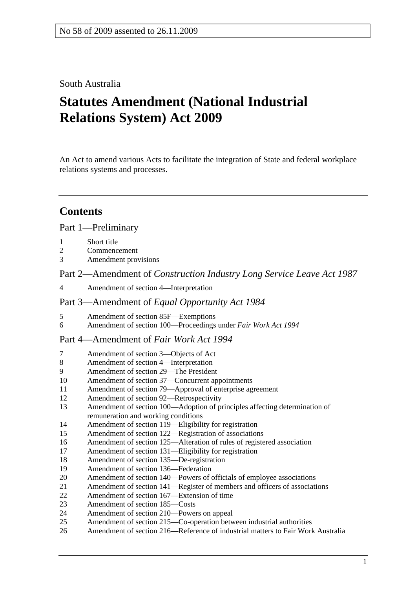## South Australia

# **Statutes Amendment (National Industrial Relations System) Act 2009**

An Act to amend various Acts to facilitate the integration of State and federal workplace relations systems and processes.

# **Contents**

## Part 1—Preliminary

- 1 Short title
- 2 Commencement
- 3 Amendment provisions

Part 2—Amendment of *Construction Industry Long Service Leave Act 1987*

4 Amendment of section 4—Interpretation

#### Part 3—Amendment of *Equal Opportunity Act 1984*

- 5 Amendment of section 85F—Exemptions<br>6 Amendment of section 100—Proceedings
- 6 Amendment of section 100—Proceedings under *Fair Work Act 1994*

## Part 4—Amendment of *Fair Work Act 1994*

- 7 Amendment of section 3—Objects of Act
- 8 Amendment of section 4—Interpretation
- 9 Amendment of section 29—The President
- 10 Amendment of section 37—Concurrent appointments
- 11 Amendment of section 79—Approval of enterprise agreement
- 12 Amendment of section 92—Retrospectivity
- 13 Amendment of section 100—Adoption of principles affecting determination of remuneration and working conditions
- 14 Amendment of section 119—Eligibility for registration
- 15 Amendment of section 122—Registration of associations
- 16 Amendment of section 125—Alteration of rules of registered association
- 17 Amendment of section 131—Eligibility for registration
- 18 Amendment of section 135—De-registration
- 19 Amendment of section 136—Federation
- 20 Amendment of section 140—Powers of officials of employee associations
- 21 Amendment of section 141—Register of members and officers of associations
- 22 Amendment of section 167—Extension of time
- 23 Amendment of section 185—Costs
- 24 Amendment of section 210—Powers on appeal
- 25 Amendment of section 215—Co-operation between industrial authorities
- 26 Amendment of section 216—Reference of industrial matters to Fair Work Australia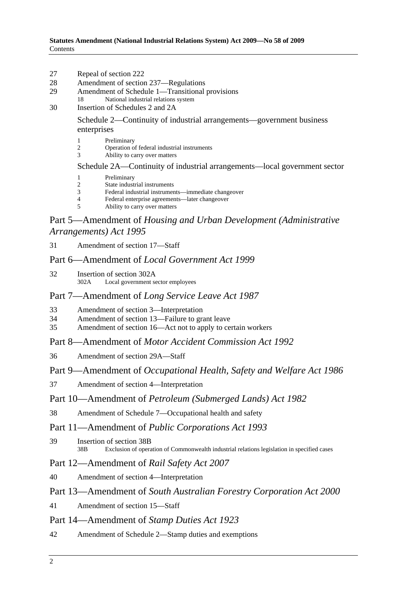- 27 Repeal of section 222
- 28 Amendment of section 237—Regulations
- 29 Amendment of Schedule 1—Transitional provisions
	- 18 National industrial relations system
- 30 Insertion of Schedules 2 and 2A

Schedule 2—Continuity of industrial arrangements—government business enterprises

- 1 Preliminary
- 2 Operation of federal industrial instruments
- 3 Ability to carry over matters

#### Schedule 2A—Continuity of industrial arrangements—local government sector

- 1 Preliminary
- 2 State industrial instruments
- 3 Federal industrial instruments—immediate changeover
- 4 Federal enterprise agreements—later changeover
- Ability to carry over matters

## Part 5—Amendment of *Housing and Urban Development (Administrative Arrangements) Act 1995*

31 Amendment of section 17—Staff

## Part 6—Amendment of *Local Government Act 1999*

32 Insertion of section 302A 302A Local government sector employees

## Part 7—Amendment of *Long Service Leave Act 1987*

- 33 Amendment of section 3—Interpretation
- 34 Amendment of section 13—Failure to grant leave
- 35 Amendment of section 16—Act not to apply to certain workers

#### Part 8—Amendment of *Motor Accident Commission Act 1992*

36 Amendment of section 29A—Staff

#### Part 9—Amendment of *Occupational Health, Safety and Welfare Act 1986*

37 Amendment of section 4—Interpretation

#### Part 10—Amendment of *Petroleum (Submerged Lands) Act 1982*

38 Amendment of Schedule 7—Occupational health and safety

## Part 11—Amendment of *Public Corporations Act 1993*

39 Insertion of section 38B 38B Exclusion of operation of Commonwealth industrial relations legislation in specified cases

## Part 12—Amendment of *Rail Safety Act 2007*

40 Amendment of section 4—Interpretation

#### Part 13—Amendment of *South Australian Forestry Corporation Act 2000*

41 Amendment of section 15—Staff

## Part 14—Amendment of *Stamp Duties Act 1923*

42 Amendment of Schedule 2—Stamp duties and exemptions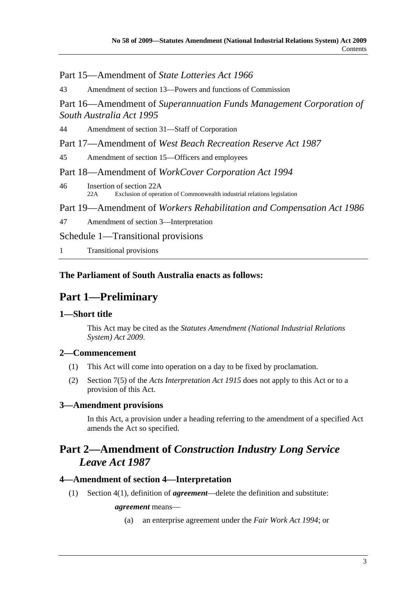## Part 15—Amendment of *State Lotteries Act 1966*

43 Amendment of section 13—Powers and functions of Commission

Part 16—Amendment of *Superannuation Funds Management Corporation of South Australia Act 1995*

44 Amendment of section 31—Staff of Corporation

Part 17—Amendment of *West Beach Recreation Reserve Act 1987*

45 Amendment of section 15—Officers and employees

Part 18—Amendment of *WorkCover Corporation Act 1994*

46 Insertion of section 22A 22A Exclusion of operation of Commonwealth industrial relations legislation

Part 19—Amendment of *Workers Rehabilitation and Compensation Act 1986*

47 Amendment of section 3—Interpretation

Schedule 1—Transitional provisions

1 Transitional provisions

## **The Parliament of South Australia enacts as follows:**

# **Part 1—Preliminary**

## **1—Short title**

This Act may be cited as the *Statutes Amendment (National Industrial Relations System) Act 2009*.

## **2—Commencement**

- (1) This Act will come into operation on a day to be fixed by proclamation.
- (2) Section 7(5) of the *Acts Interpretation Act 1915* does not apply to this Act or to a provision of this Act.

## **3—Amendment provisions**

In this Act, a provision under a heading referring to the amendment of a specified Act amends the Act so specified.

# **Part 2—Amendment of** *Construction Industry Long Service Leave Act 1987*

## **4—Amendment of section 4—Interpretation**

(1) Section 4(1), definition of *agreement*—delete the definition and substitute:

#### *agreement* means—

(a) an enterprise agreement under the *Fair Work Act 1994*; or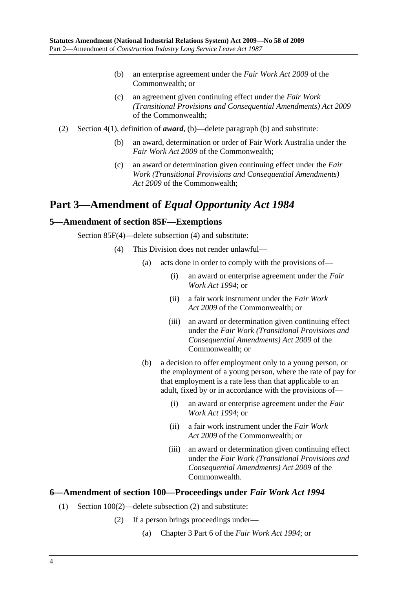- (b) an enterprise agreement under the *Fair Work Act 2009* of the Commonwealth; or
- (c) an agreement given continuing effect under the *Fair Work (Transitional Provisions and Consequential Amendments) Act 2009* of the Commonwealth;
- (2) Section 4(1), definition of *award*, (b)—delete paragraph (b) and substitute:
	- (b) an award, determination or order of Fair Work Australia under the *Fair Work Act 2009* of the Commonwealth;
	- (c) an award or determination given continuing effect under the *Fair Work (Transitional Provisions and Consequential Amendments) Act 2009* of the Commonwealth;

# **Part 3—Amendment of** *Equal Opportunity Act 1984*

## **5—Amendment of section 85F—Exemptions**

Section 85F(4)—delete subsection (4) and substitute:

- (4) This Division does not render unlawful—
	- (a) acts done in order to comply with the provisions of—
		- (i) an award or enterprise agreement under the *Fair Work Act 1994*; or
		- (ii) a fair work instrument under the *Fair Work Act 2009* of the Commonwealth; or
		- (iii) an award or determination given continuing effect under the *Fair Work (Transitional Provisions and Consequential Amendments) Act 2009* of the Commonwealth; or
	- (b) a decision to offer employment only to a young person, or the employment of a young person, where the rate of pay for that employment is a rate less than that applicable to an adult, fixed by or in accordance with the provisions of—
		- (i) an award or enterprise agreement under the *Fair Work Act 1994*; or
		- (ii) a fair work instrument under the *Fair Work Act 2009* of the Commonwealth; or
		- (iii) an award or determination given continuing effect under the *Fair Work (Transitional Provisions and Consequential Amendments) Act 2009* of the Commonwealth.

#### **6—Amendment of section 100—Proceedings under** *Fair Work Act 1994*

- (1) Section 100(2)—delete subsection (2) and substitute:
	- (2) If a person brings proceedings under—
		- (a) Chapter 3 Part 6 of the *Fair Work Act 1994*; or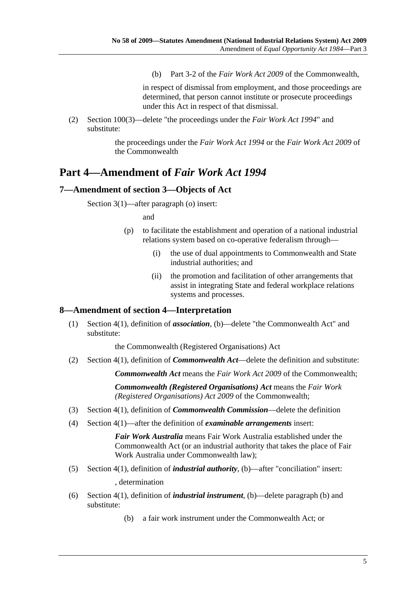(b) Part 3-2 of the *Fair Work Act 2009* of the Commonwealth,

in respect of dismissal from employment, and those proceedings are determined, that person cannot institute or prosecute proceedings under this Act in respect of that dismissal.

 (2) Section 100(3)—delete "the proceedings under the *Fair Work Act 1994*" and substitute:

> the proceedings under the *Fair Work Act 1994* or the *Fair Work Act 2009* of the Commonwealth

## **Part 4—Amendment of** *Fair Work Act 1994*

## **7—Amendment of section 3—Objects of Act**

Section 3(1)—after paragraph (o) insert:

and

- (p) to facilitate the establishment and operation of a national industrial relations system based on co-operative federalism through—
	- (i) the use of dual appointments to Commonwealth and State industrial authorities; and
	- (ii) the promotion and facilitation of other arrangements that assist in integrating State and federal workplace relations systems and processes.

#### **8—Amendment of section 4—Interpretation**

 (1) Section 4(1), definition of *association*, (b)—delete "the Commonwealth Act" and substitute:

the Commonwealth (Registered Organisations) Act

(2) Section 4(1), definition of *Commonwealth Act*—delete the definition and substitute:

*Commonwealth Act* means the *Fair Work Act 2009* of the Commonwealth;

*Commonwealth (Registered Organisations) Act* means the *Fair Work (Registered Organisations) Act 2009* of the Commonwealth;

- (3) Section 4(1), definition of *Commonwealth Commission*—delete the definition
- (4) Section 4(1)—after the definition of *examinable arrangements* insert:

*Fair Work Australia* means Fair Work Australia established under the Commonwealth Act (or an industrial authority that takes the place of Fair Work Australia under Commonwealth law);

(5) Section 4(1), definition of *industrial authority*, (b)—after "conciliation" insert:

, determination

- (6) Section 4(1), definition of *industrial instrument*, (b)—delete paragraph (b) and substitute:
	- (b) a fair work instrument under the Commonwealth Act; or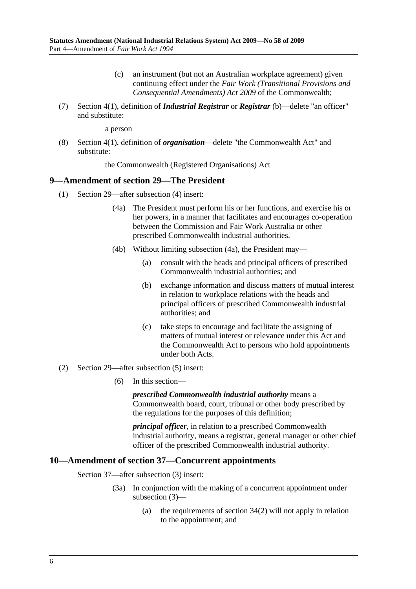- (c) an instrument (but not an Australian workplace agreement) given continuing effect under the *Fair Work (Transitional Provisions and Consequential Amendments) Act 2009* of the Commonwealth;
- (7) Section 4(1), definition of *Industrial Registrar* or *Registrar* (b)—delete "an officer" and substitute:

a person

 (8) Section 4(1), definition of *organisation*—delete "the Commonwealth Act" and substitute:

the Commonwealth (Registered Organisations) Act

#### **9—Amendment of section 29—The President**

- (1) Section 29—after subsection (4) insert:
	- (4a) The President must perform his or her functions, and exercise his or her powers, in a manner that facilitates and encourages co-operation between the Commission and Fair Work Australia or other prescribed Commonwealth industrial authorities.
	- (4b) Without limiting subsection (4a), the President may—
		- (a) consult with the heads and principal officers of prescribed Commonwealth industrial authorities; and
		- (b) exchange information and discuss matters of mutual interest in relation to workplace relations with the heads and principal officers of prescribed Commonwealth industrial authorities; and
		- (c) take steps to encourage and facilitate the assigning of matters of mutual interest or relevance under this Act and the Commonwealth Act to persons who hold appointments under both Acts.
- (2) Section 29—after subsection (5) insert:
	- (6) In this section—

*prescribed Commonwealth industrial authority* means a Commonwealth board, court, tribunal or other body prescribed by the regulations for the purposes of this definition;

*principal officer*, in relation to a prescribed Commonwealth industrial authority, means a registrar, general manager or other chief officer of the prescribed Commonwealth industrial authority.

#### **10—Amendment of section 37—Concurrent appointments**

Section 37—after subsection (3) insert:

- (3a) In conjunction with the making of a concurrent appointment under subsection (3)—
	- (a) the requirements of section 34(2) will not apply in relation to the appointment; and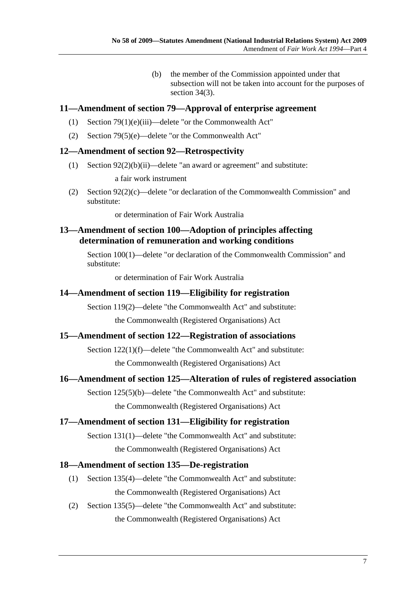(b) the member of the Commission appointed under that subsection will not be taken into account for the purposes of section 34(3).

## **11—Amendment of section 79—Approval of enterprise agreement**

- (1) Section 79(1)(e)(iii)—delete "or the Commonwealth Act"
- (2) Section 79(5)(e)—delete "or the Commonwealth Act"

## **12—Amendment of section 92—Retrospectivity**

(1) Section 92(2)(b)(ii)—delete "an award or agreement" and substitute:

a fair work instrument

 (2) Section 92(2)(c)—delete "or declaration of the Commonwealth Commission" and substitute:

or determination of Fair Work Australia

## **13—Amendment of section 100—Adoption of principles affecting determination of remuneration and working conditions**

Section 100(1)—delete "or declaration of the Commonwealth Commission" and substitute:

or determination of Fair Work Australia

## **14—Amendment of section 119—Eligibility for registration**

Section 119(2)—delete "the Commonwealth Act" and substitute: the Commonwealth (Registered Organisations) Act

## **15—Amendment of section 122—Registration of associations**

Section 122(1)(f)—delete "the Commonwealth Act" and substitute: the Commonwealth (Registered Organisations) Act

## **16—Amendment of section 125—Alteration of rules of registered association**

Section 125(5)(b)—delete "the Commonwealth Act" and substitute: the Commonwealth (Registered Organisations) Act

## **17—Amendment of section 131—Eligibility for registration**

Section 131(1)—delete "the Commonwealth Act" and substitute: the Commonwealth (Registered Organisations) Act

## **18—Amendment of section 135—De-registration**

- (1) Section 135(4)—delete "the Commonwealth Act" and substitute: the Commonwealth (Registered Organisations) Act
- (2) Section 135(5)—delete "the Commonwealth Act" and substitute: the Commonwealth (Registered Organisations) Act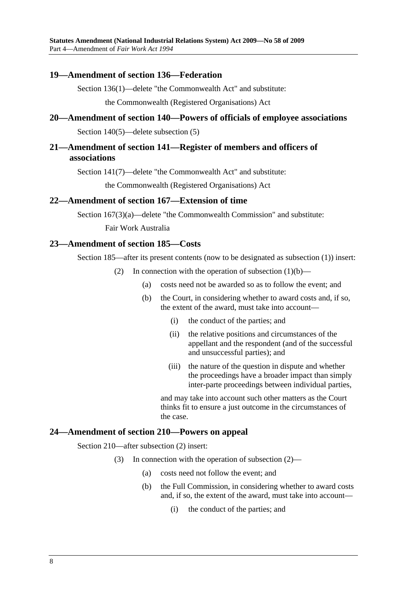#### **19—Amendment of section 136—Federation**

Section 136(1)—delete "the Commonwealth Act" and substitute:

the Commonwealth (Registered Organisations) Act

## **20—Amendment of section 140—Powers of officials of employee associations**

Section 140(5)—delete subsection (5)

## **21—Amendment of section 141—Register of members and officers of associations**

Section 141(7)—delete "the Commonwealth Act" and substitute:

the Commonwealth (Registered Organisations) Act

#### **22—Amendment of section 167—Extension of time**

Section 167(3)(a)—delete "the Commonwealth Commission" and substitute:

Fair Work Australia

## **23—Amendment of section 185—Costs**

Section 185—after its present contents (now to be designated as subsection (1)) insert:

- (2) In connection with the operation of subsection  $(1)(b)$ 
	- (a) costs need not be awarded so as to follow the event; and
	- (b) the Court, in considering whether to award costs and, if so, the extent of the award, must take into account—
		- (i) the conduct of the parties; and
		- (ii) the relative positions and circumstances of the appellant and the respondent (and of the successful and unsuccessful parties); and
		- (iii) the nature of the question in dispute and whether the proceedings have a broader impact than simply inter-parte proceedings between individual parties,

and may take into account such other matters as the Court thinks fit to ensure a just outcome in the circumstances of the case.

### **24—Amendment of section 210—Powers on appeal**

Section 210—after subsection (2) insert:

- (3) In connection with the operation of subsection (2)—
	- (a) costs need not follow the event; and
	- (b) the Full Commission, in considering whether to award costs and, if so, the extent of the award, must take into account—
		- (i) the conduct of the parties; and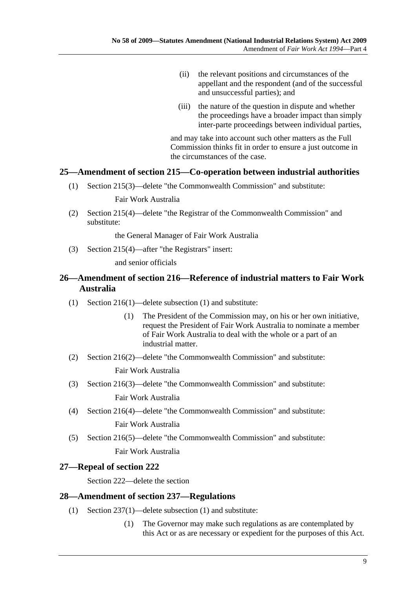- (ii) the relevant positions and circumstances of the appellant and the respondent (and of the successful and unsuccessful parties); and
- (iii) the nature of the question in dispute and whether the proceedings have a broader impact than simply inter-parte proceedings between individual parties,

and may take into account such other matters as the Full Commission thinks fit in order to ensure a just outcome in the circumstances of the case.

## **25—Amendment of section 215—Co-operation between industrial authorities**

(1) Section 215(3)—delete "the Commonwealth Commission" and substitute:

Fair Work Australia

 (2) Section 215(4)—delete "the Registrar of the Commonwealth Commission" and substitute:

the General Manager of Fair Work Australia

(3) Section 215(4)—after "the Registrars" insert:

and senior officials

## **26—Amendment of section 216—Reference of industrial matters to Fair Work Australia**

- (1) Section 216(1)—delete subsection (1) and substitute:
	- (1) The President of the Commission may, on his or her own initiative, request the President of Fair Work Australia to nominate a member of Fair Work Australia to deal with the whole or a part of an industrial matter.
- (2) Section 216(2)—delete "the Commonwealth Commission" and substitute:

Fair Work Australia

(3) Section 216(3)—delete "the Commonwealth Commission" and substitute:

Fair Work Australia

- (4) Section 216(4)—delete "the Commonwealth Commission" and substitute: Fair Work Australia
- (5) Section 216(5)—delete "the Commonwealth Commission" and substitute:

Fair Work Australia

## **27—Repeal of section 222**

Section 222—delete the section

#### **28—Amendment of section 237—Regulations**

- (1) Section 237(1)—delete subsection (1) and substitute:
	- (1) The Governor may make such regulations as are contemplated by this Act or as are necessary or expedient for the purposes of this Act.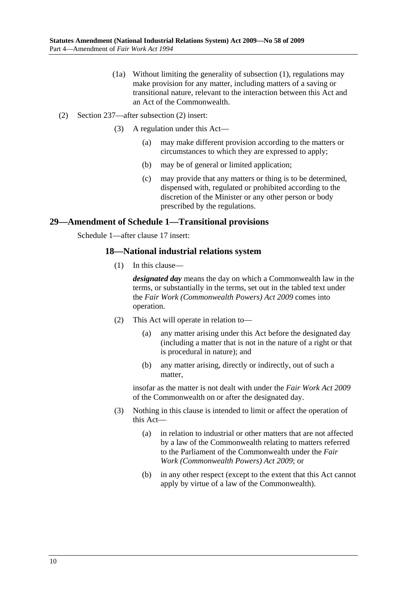- (1a) Without limiting the generality of subsection (1), regulations may make provision for any matter, including matters of a saving or transitional nature, relevant to the interaction between this Act and an Act of the Commonwealth.
- (2) Section 237—after subsection (2) insert:
	- (3) A regulation under this Act—
		- (a) may make different provision according to the matters or circumstances to which they are expressed to apply;
		- (b) may be of general or limited application;
		- (c) may provide that any matters or thing is to be determined, dispensed with, regulated or prohibited according to the discretion of the Minister or any other person or body prescribed by the regulations.

## **29—Amendment of Schedule 1—Transitional provisions**

Schedule 1—after clause 17 insert:

## **18—National industrial relations system**

(1) In this clause—

*designated day* means the day on which a Commonwealth law in the terms, or substantially in the terms, set out in the tabled text under the *Fair Work (Commonwealth Powers) Act 2009* comes into operation.

- (2) This Act will operate in relation to—
	- (a) any matter arising under this Act before the designated day (including a matter that is not in the nature of a right or that is procedural in nature); and
	- (b) any matter arising, directly or indirectly, out of such a matter,

insofar as the matter is not dealt with under the *Fair Work Act 2009* of the Commonwealth on or after the designated day.

- (3) Nothing in this clause is intended to limit or affect the operation of this Act—
	- (a) in relation to industrial or other matters that are not affected by a law of the Commonwealth relating to matters referred to the Parliament of the Commonwealth under the *Fair Work (Commonwealth Powers) Act 2009*; or
	- (b) in any other respect (except to the extent that this Act cannot apply by virtue of a law of the Commonwealth).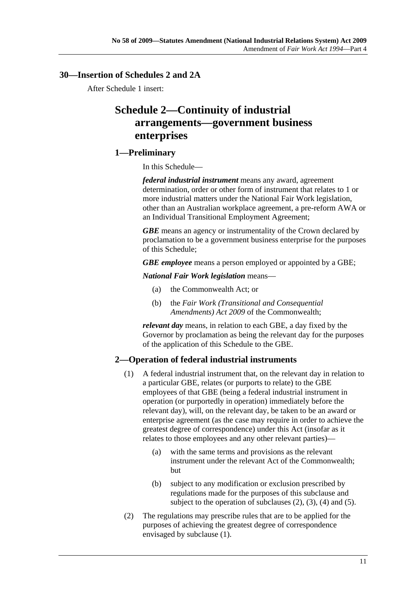## **30—Insertion of Schedules 2 and 2A**

After Schedule 1 insert:

# **Schedule 2—Continuity of industrial arrangements—government business enterprises**

## **1—Preliminary**

In this Schedule—

*federal industrial instrument* means any award, agreement determination, order or other form of instrument that relates to 1 or more industrial matters under the National Fair Work legislation, other than an Australian workplace agreement, a pre-reform AWA or an Individual Transitional Employment Agreement;

*GBE* means an agency or instrumentality of the Crown declared by proclamation to be a government business enterprise for the purposes of this Schedule;

*GBE employee* means a person employed or appointed by a GBE;

*National Fair Work legislation* means—

- (a) the Commonwealth Act; or
- (b) the *Fair Work (Transitional and Consequential Amendments) Act 2009* of the Commonwealth;

*relevant day* means, in relation to each GBE, a day fixed by the Governor by proclamation as being the relevant day for the purposes of the application of this Schedule to the GBE.

## **2—Operation of federal industrial instruments**

- (1) A federal industrial instrument that, on the relevant day in relation to a particular GBE, relates (or purports to relate) to the GBE employees of that GBE (being a federal industrial instrument in operation (or purportedly in operation) immediately before the relevant day), will, on the relevant day, be taken to be an award or enterprise agreement (as the case may require in order to achieve the greatest degree of correspondence) under this Act (insofar as it relates to those employees and any other relevant parties)—
	- (a) with the same terms and provisions as the relevant instrument under the relevant Act of the Commonwealth; but
	- (b) subject to any modification or exclusion prescribed by regulations made for the purposes of this subclause and subject to the operation of subclauses  $(2)$ ,  $(3)$ ,  $(4)$  and  $(5)$ .
- (2) The regulations may prescribe rules that are to be applied for the purposes of achieving the greatest degree of correspondence envisaged by subclause (1).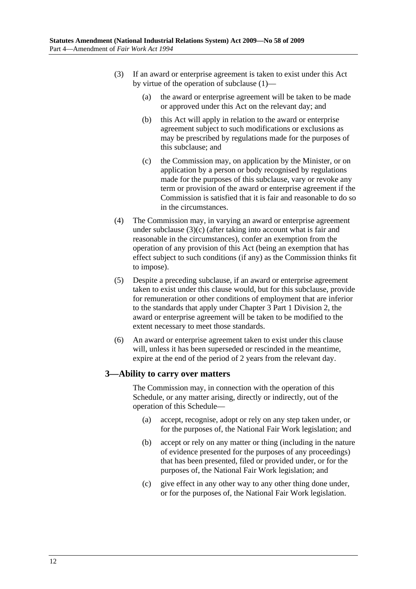- (3) If an award or enterprise agreement is taken to exist under this Act by virtue of the operation of subclause (1)—
	- (a) the award or enterprise agreement will be taken to be made or approved under this Act on the relevant day; and
	- (b) this Act will apply in relation to the award or enterprise agreement subject to such modifications or exclusions as may be prescribed by regulations made for the purposes of this subclause; and
	- (c) the Commission may, on application by the Minister, or on application by a person or body recognised by regulations made for the purposes of this subclause, vary or revoke any term or provision of the award or enterprise agreement if the Commission is satisfied that it is fair and reasonable to do so in the circumstances.
- (4) The Commission may, in varying an award or enterprise agreement under subclause (3)(c) (after taking into account what is fair and reasonable in the circumstances), confer an exemption from the operation of any provision of this Act (being an exemption that has effect subject to such conditions (if any) as the Commission thinks fit to impose).
- (5) Despite a preceding subclause, if an award or enterprise agreement taken to exist under this clause would, but for this subclause, provide for remuneration or other conditions of employment that are inferior to the standards that apply under Chapter 3 Part 1 Division 2, the award or enterprise agreement will be taken to be modified to the extent necessary to meet those standards.
- (6) An award or enterprise agreement taken to exist under this clause will, unless it has been superseded or rescinded in the meantime. expire at the end of the period of 2 years from the relevant day.

## **3—Ability to carry over matters**

The Commission may, in connection with the operation of this Schedule, or any matter arising, directly or indirectly, out of the operation of this Schedule—

- (a) accept, recognise, adopt or rely on any step taken under, or for the purposes of, the National Fair Work legislation; and
- (b) accept or rely on any matter or thing (including in the nature of evidence presented for the purposes of any proceedings) that has been presented, filed or provided under, or for the purposes of, the National Fair Work legislation; and
- (c) give effect in any other way to any other thing done under, or for the purposes of, the National Fair Work legislation.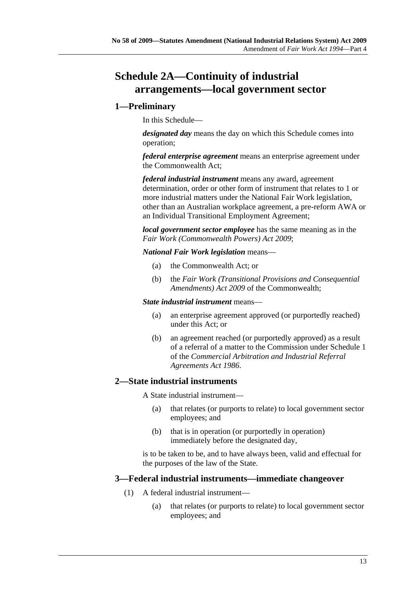# **Schedule 2A—Continuity of industrial arrangements—local government sector**

## **1—Preliminary**

In this Schedule—

*designated day* means the day on which this Schedule comes into operation;

*federal enterprise agreement* means an enterprise agreement under the Commonwealth Act;

*federal industrial instrument* means any award, agreement determination, order or other form of instrument that relates to 1 or more industrial matters under the National Fair Work legislation, other than an Australian workplace agreement, a pre-reform AWA or an Individual Transitional Employment Agreement;

*local government sector employee* has the same meaning as in the *Fair Work (Commonwealth Powers) Act 2009*;

*National Fair Work legislation* means—

- (a) the Commonwealth Act; or
- (b) the *Fair Work (Transitional Provisions and Consequential Amendments) Act 2009* of the Commonwealth;

#### *State industrial instrument* means—

- (a) an enterprise agreement approved (or purportedly reached) under this Act; or
- (b) an agreement reached (or purportedly approved) as a result of a referral of a matter to the Commission under Schedule 1 of the *Commercial Arbitration and Industrial Referral Agreements Act 1986*.

## **2—State industrial instruments**

A State industrial instrument—

- (a) that relates (or purports to relate) to local government sector employees; and
- (b) that is in operation (or purportedly in operation) immediately before the designated day,

is to be taken to be, and to have always been, valid and effectual for the purposes of the law of the State.

## **3—Federal industrial instruments—immediate changeover**

- (1) A federal industrial instrument—
	- (a) that relates (or purports to relate) to local government sector employees; and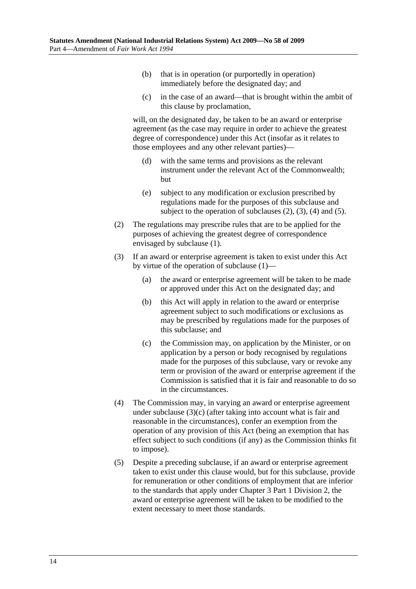- (b) that is in operation (or purportedly in operation) immediately before the designated day; and
- (c) in the case of an award—that is brought within the ambit of this clause by proclamation,

will, on the designated day, be taken to be an award or enterprise agreement (as the case may require in order to achieve the greatest degree of correspondence) under this Act (insofar as it relates to those employees and any other relevant parties)—

- (d) with the same terms and provisions as the relevant instrument under the relevant Act of the Commonwealth; but
- (e) subject to any modification or exclusion prescribed by regulations made for the purposes of this subclause and subject to the operation of subclauses  $(2)$ ,  $(3)$ ,  $(4)$  and  $(5)$ .
- (2) The regulations may prescribe rules that are to be applied for the purposes of achieving the greatest degree of correspondence envisaged by subclause (1).
- (3) If an award or enterprise agreement is taken to exist under this Act by virtue of the operation of subclause (1)—
	- (a) the award or enterprise agreement will be taken to be made or approved under this Act on the designated day; and
	- (b) this Act will apply in relation to the award or enterprise agreement subject to such modifications or exclusions as may be prescribed by regulations made for the purposes of this subclause; and
	- (c) the Commission may, on application by the Minister, or on application by a person or body recognised by regulations made for the purposes of this subclause, vary or revoke any term or provision of the award or enterprise agreement if the Commission is satisfied that it is fair and reasonable to do so in the circumstances.
- (4) The Commission may, in varying an award or enterprise agreement under subclause (3)(c) (after taking into account what is fair and reasonable in the circumstances), confer an exemption from the operation of any provision of this Act (being an exemption that has effect subject to such conditions (if any) as the Commission thinks fit to impose).
- (5) Despite a preceding subclause, if an award or enterprise agreement taken to exist under this clause would, but for this subclause, provide for remuneration or other conditions of employment that are inferior to the standards that apply under Chapter 3 Part 1 Division 2, the award or enterprise agreement will be taken to be modified to the extent necessary to meet those standards.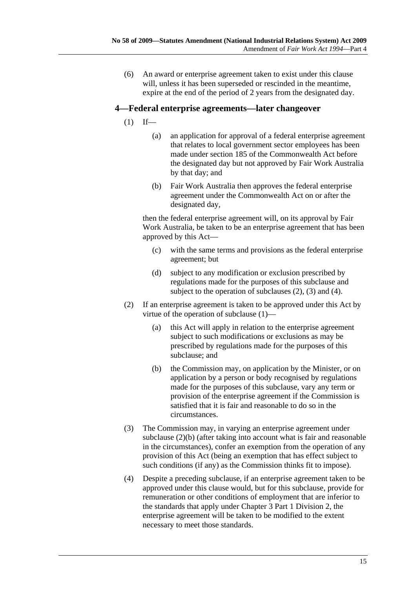(6) An award or enterprise agreement taken to exist under this clause will, unless it has been superseded or rescinded in the meantime, expire at the end of the period of 2 years from the designated day.

## **4—Federal enterprise agreements—later changeover**

- $(1)$  If—
	- (a) an application for approval of a federal enterprise agreement that relates to local government sector employees has been made under section 185 of the Commonwealth Act before the designated day but not approved by Fair Work Australia by that day; and
	- (b) Fair Work Australia then approves the federal enterprise agreement under the Commonwealth Act on or after the designated day,

then the federal enterprise agreement will, on its approval by Fair Work Australia, be taken to be an enterprise agreement that has been approved by this Act—

- (c) with the same terms and provisions as the federal enterprise agreement; but
- (d) subject to any modification or exclusion prescribed by regulations made for the purposes of this subclause and subject to the operation of subclauses  $(2)$ ,  $(3)$  and  $(4)$ .
- (2) If an enterprise agreement is taken to be approved under this Act by virtue of the operation of subclause (1)—
	- (a) this Act will apply in relation to the enterprise agreement subject to such modifications or exclusions as may be prescribed by regulations made for the purposes of this subclause; and
	- (b) the Commission may, on application by the Minister, or on application by a person or body recognised by regulations made for the purposes of this subclause, vary any term or provision of the enterprise agreement if the Commission is satisfied that it is fair and reasonable to do so in the circumstances.
- (3) The Commission may, in varying an enterprise agreement under subclause (2)(b) (after taking into account what is fair and reasonable in the circumstances), confer an exemption from the operation of any provision of this Act (being an exemption that has effect subject to such conditions (if any) as the Commission thinks fit to impose).
- (4) Despite a preceding subclause, if an enterprise agreement taken to be approved under this clause would, but for this subclause, provide for remuneration or other conditions of employment that are inferior to the standards that apply under Chapter 3 Part 1 Division 2, the enterprise agreement will be taken to be modified to the extent necessary to meet those standards.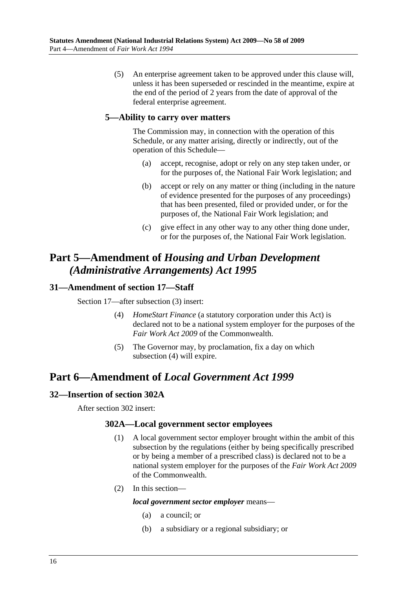(5) An enterprise agreement taken to be approved under this clause will, unless it has been superseded or rescinded in the meantime, expire at the end of the period of 2 years from the date of approval of the federal enterprise agreement.

## **5—Ability to carry over matters**

The Commission may, in connection with the operation of this Schedule, or any matter arising, directly or indirectly, out of the operation of this Schedule—

- (a) accept, recognise, adopt or rely on any step taken under, or for the purposes of, the National Fair Work legislation; and
- (b) accept or rely on any matter or thing (including in the nature of evidence presented for the purposes of any proceedings) that has been presented, filed or provided under, or for the purposes of, the National Fair Work legislation; and
- (c) give effect in any other way to any other thing done under, or for the purposes of, the National Fair Work legislation.

# **Part 5—Amendment of** *Housing and Urban Development (Administrative Arrangements) Act 1995*

## **31—Amendment of section 17—Staff**

Section 17—after subsection (3) insert:

- (4) *HomeStart Finance* (a statutory corporation under this Act) is declared not to be a national system employer for the purposes of the *Fair Work Act 2009* of the Commonwealth.
- (5) The Governor may, by proclamation, fix a day on which subsection (4) will expire.

# **Part 6—Amendment of** *Local Government Act 1999*

## **32—Insertion of section 302A**

After section 302 insert:

## **302A—Local government sector employees**

- (1) A local government sector employer brought within the ambit of this subsection by the regulations (either by being specifically prescribed or by being a member of a prescribed class) is declared not to be a national system employer for the purposes of the *Fair Work Act 2009* of the Commonwealth.
- (2) In this section—

#### *local government sector employer* means—

- (a) a council; or
- (b) a subsidiary or a regional subsidiary; or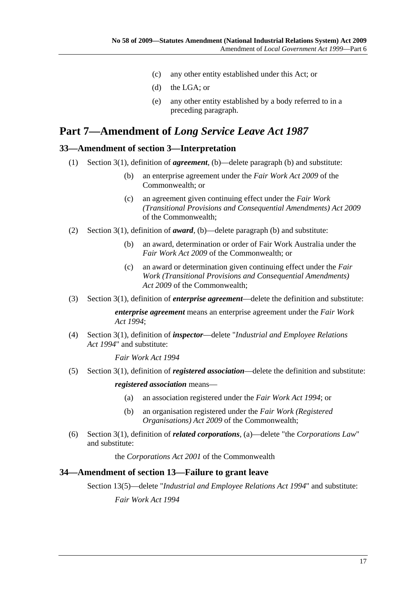- (c) any other entity established under this Act; or
- (d) the LGA; or
- (e) any other entity established by a body referred to in a preceding paragraph.

# **Part 7—Amendment of** *Long Service Leave Act 1987*

## **33—Amendment of section 3—Interpretation**

- (1) Section 3(1), definition of *agreement*, (b)—delete paragraph (b) and substitute:
	- (b) an enterprise agreement under the *Fair Work Act 2009* of the Commonwealth; or
	- (c) an agreement given continuing effect under the *Fair Work (Transitional Provisions and Consequential Amendments) Act 2009* of the Commonwealth;
- (2) Section 3(1), definition of *award*, (b)—delete paragraph (b) and substitute:
	- (b) an award, determination or order of Fair Work Australia under the *Fair Work Act 2009* of the Commonwealth; or
	- (c) an award or determination given continuing effect under the *Fair Work (Transitional Provisions and Consequential Amendments) Act 2009* of the Commonwealth;
- (3) Section 3(1), definition of *enterprise agreement*—delete the definition and substitute:

*enterprise agreement* means an enterprise agreement under the *Fair Work Act 1994*;

 (4) Section 3(1), definition of *inspector*—delete "*Industrial and Employee Relations Act 1994*" and substitute:

*Fair Work Act 1994*

(5) Section 3(1), definition of *registered association*—delete the definition and substitute:

*registered association* means—

- (a) an association registered under the *Fair Work Act 1994*; or
- (b) an organisation registered under the *Fair Work (Registered Organisations) Act 2009* of the Commonwealth;
- (6) Section 3(1), definition of *related corporations*, (a)—delete "the *Corporations Law*" and substitute:

the *Corporations Act 2001* of the Commonwealth

#### **34—Amendment of section 13—Failure to grant leave**

Section 13(5)—delete "*Industrial and Employee Relations Act 1994*" and substitute:

*Fair Work Act 1994*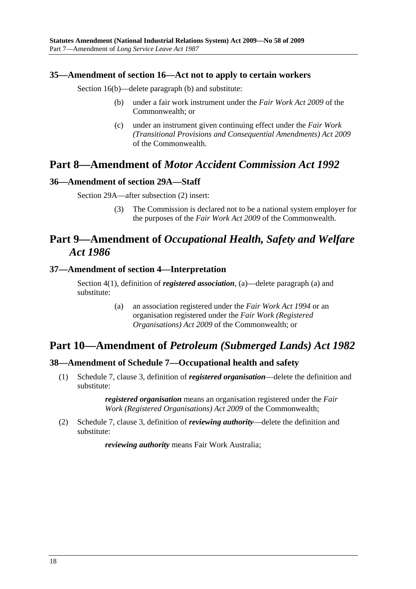## **35—Amendment of section 16—Act not to apply to certain workers**

Section 16(b)—delete paragraph (b) and substitute:

- (b) under a fair work instrument under the *Fair Work Act 2009* of the Commonwealth; or
- (c) under an instrument given continuing effect under the *Fair Work (Transitional Provisions and Consequential Amendments) Act 2009* of the Commonwealth.

## **Part 8—Amendment of** *Motor Accident Commission Act 1992*

## **36—Amendment of section 29A—Staff**

Section 29A—after subsection (2) insert:

 (3) The Commission is declared not to be a national system employer for the purposes of the *Fair Work Act 2009* of the Commonwealth.

# **Part 9—Amendment of** *Occupational Health, Safety and Welfare Act 1986*

## **37—Amendment of section 4—Interpretation**

Section 4(1), definition of *registered association*, (a)—delete paragraph (a) and substitute:

> (a) an association registered under the *Fair Work Act 1994* or an organisation registered under the *Fair Work (Registered Organisations) Act 2009* of the Commonwealth; or

## **Part 10—Amendment of** *Petroleum (Submerged Lands) Act 1982*

## **38—Amendment of Schedule 7—Occupational health and safety**

 (1) Schedule 7, clause 3, definition of *registered organisation*—delete the definition and substitute:

> *registered organisation* means an organisation registered under the *Fair Work (Registered Organisations) Act 2009* of the Commonwealth;

 (2) Schedule 7, clause 3, definition of *reviewing authority*—delete the definition and substitute:

*reviewing authority* means Fair Work Australia;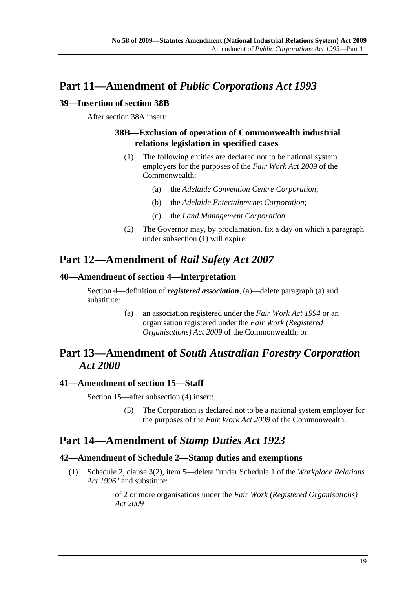# **Part 11—Amendment of** *Public Corporations Act 1993*

## **39—Insertion of section 38B**

After section 38A insert:

## **38B—Exclusion of operation of Commonwealth industrial relations legislation in specified cases**

- (1) The following entities are declared not to be national system employers for the purposes of the *Fair Work Act 2009* of the Commonwealth:
	- (a) the *Adelaide Convention Centre Corporation*;
	- (b) the *Adelaide Entertainments Corporation*;
	- (c) the *Land Management Corporation*.
- (2) The Governor may, by proclamation, fix a day on which a paragraph under subsection (1) will expire.

# **Part 12—Amendment of** *Rail Safety Act 2007*

## **40—Amendment of section 4—Interpretation**

Section 4—definition of *registered association*, (a)—delete paragraph (a) and substitute:

> (a) an association registered under the *Fair Work Act 1994* or an organisation registered under the *Fair Work (Registered Organisations) Act 2009* of the Commonwealth; or

# **Part 13—Amendment of** *South Australian Forestry Corporation Act 2000*

## **41—Amendment of section 15—Staff**

Section 15—after subsection (4) insert:

 (5) The Corporation is declared not to be a national system employer for the purposes of the *Fair Work Act 2009* of the Commonwealth.

## **Part 14—Amendment of** *Stamp Duties Act 1923*

## **42—Amendment of Schedule 2—Stamp duties and exemptions**

 (1) Schedule 2, clause 3(2), item 5—delete "under Schedule 1 of the *Workplace Relations Act 1996*" and substitute:

> of 2 or more organisations under the *Fair Work (Registered Organisations) Act 2009*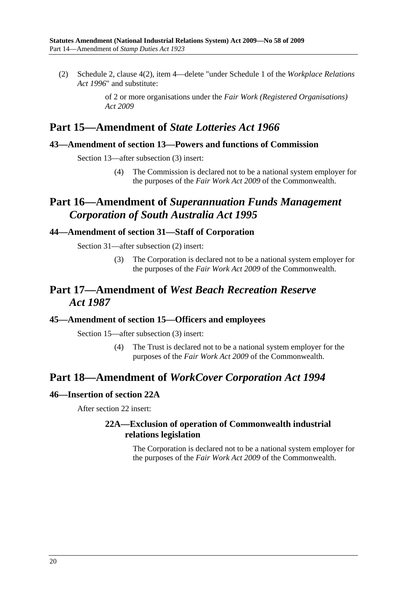(2) Schedule 2, clause 4(2), item 4—delete "under Schedule 1 of the *Workplace Relations Act 1996*" and substitute:

> of 2 or more organisations under the *Fair Work (Registered Organisations) Act 2009*

## **Part 15—Amendment of** *State Lotteries Act 1966*

## **43—Amendment of section 13—Powers and functions of Commission**

Section 13—after subsection (3) insert:

 (4) The Commission is declared not to be a national system employer for the purposes of the *Fair Work Act 2009* of the Commonwealth.

# **Part 16—Amendment of** *Superannuation Funds Management Corporation of South Australia Act 1995*

## **44—Amendment of section 31—Staff of Corporation**

Section 31—after subsection (2) insert:

 (3) The Corporation is declared not to be a national system employer for the purposes of the *Fair Work Act 2009* of the Commonwealth.

# **Part 17—Amendment of** *West Beach Recreation Reserve Act 1987*

## **45—Amendment of section 15—Officers and employees**

Section 15—after subsection (3) insert:

 (4) The Trust is declared not to be a national system employer for the purposes of the *Fair Work Act 2009* of the Commonwealth.

## **Part 18—Amendment of** *WorkCover Corporation Act 1994*

## **46—Insertion of section 22A**

After section 22 insert:

## **22A—Exclusion of operation of Commonwealth industrial relations legislation**

The Corporation is declared not to be a national system employer for the purposes of the *Fair Work Act 2009* of the Commonwealth.